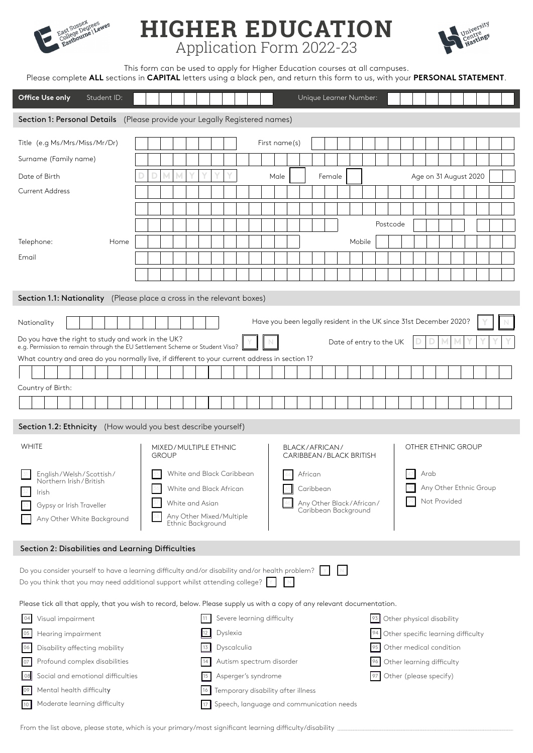

# **HIGHER EDUCATION** Application Form 2022-23



This form can be used to apply for Higher Education courses at all campuses.

|                                                                                                                                                                               |                       |                                                                                                                    |                                                       | Please complete ALL sections in CAPITAL letters using a black pen, and return this form to us, with your PERSONAL STATEMENT. |  |  |  |
|-------------------------------------------------------------------------------------------------------------------------------------------------------------------------------|-----------------------|--------------------------------------------------------------------------------------------------------------------|-------------------------------------------------------|------------------------------------------------------------------------------------------------------------------------------|--|--|--|
| Office Use only<br>Student ID:                                                                                                                                                |                       |                                                                                                                    | Unique Learner Number:                                |                                                                                                                              |  |  |  |
| Section 1: Personal Details (Please provide your Legally Registered names)                                                                                                    |                       |                                                                                                                    |                                                       |                                                                                                                              |  |  |  |
| Title (e.g Ms/Mrs/Miss/Mr/Dr)                                                                                                                                                 |                       |                                                                                                                    | First name(s)                                         |                                                                                                                              |  |  |  |
| Surname (Family name)                                                                                                                                                         |                       |                                                                                                                    |                                                       |                                                                                                                              |  |  |  |
| Date of Birth                                                                                                                                                                 |                       |                                                                                                                    | Male<br>Female                                        | Age on 31 August 2020                                                                                                        |  |  |  |
| <b>Current Address</b>                                                                                                                                                        |                       |                                                                                                                    |                                                       |                                                                                                                              |  |  |  |
|                                                                                                                                                                               |                       |                                                                                                                    |                                                       |                                                                                                                              |  |  |  |
|                                                                                                                                                                               |                       |                                                                                                                    |                                                       | Postcode                                                                                                                     |  |  |  |
| Home<br>Telephone:                                                                                                                                                            |                       |                                                                                                                    |                                                       | Mobile                                                                                                                       |  |  |  |
| Email                                                                                                                                                                         |                       |                                                                                                                    |                                                       |                                                                                                                              |  |  |  |
|                                                                                                                                                                               |                       |                                                                                                                    |                                                       |                                                                                                                              |  |  |  |
| Section 1.1: Nationality (Please place a cross in the relevant boxes)                                                                                                         |                       |                                                                                                                    |                                                       |                                                                                                                              |  |  |  |
| Nationality                                                                                                                                                                   |                       |                                                                                                                    |                                                       | Have you been legally resident in the UK since 31st December 2020?                                                           |  |  |  |
| Do you have the right to study and work in the UK?                                                                                                                            |                       |                                                                                                                    |                                                       | Date of entry to the UK                                                                                                      |  |  |  |
| e.g. Permission to remain through the EU Settlement Scheme or Student Visa?<br>What country and area do you normally live, if different to your current address in section 1? |                       |                                                                                                                    |                                                       |                                                                                                                              |  |  |  |
|                                                                                                                                                                               |                       |                                                                                                                    |                                                       |                                                                                                                              |  |  |  |
| Country of Birth:                                                                                                                                                             |                       |                                                                                                                    |                                                       |                                                                                                                              |  |  |  |
|                                                                                                                                                                               |                       |                                                                                                                    |                                                       |                                                                                                                              |  |  |  |
| Section 1.2: Ethnicity (How would you best describe yourself)                                                                                                                 |                       |                                                                                                                    |                                                       |                                                                                                                              |  |  |  |
| <b>WHITE</b>                                                                                                                                                                  | MIXED/MULTIPLE ETHNIC |                                                                                                                    | BLACK/AFRICAN/                                        | OTHER ETHNIC GROUP                                                                                                           |  |  |  |
|                                                                                                                                                                               | <b>GROUP</b>          |                                                                                                                    | CARIBBEAN/BLACK BRITISH                               |                                                                                                                              |  |  |  |
| 31 English/Welsh/Scottish/<br>Northern Irish/British                                                                                                                          |                       | 35 White and Black Caribbean<br>White and Black African                                                            | 44 African                                            | $47$ Arab<br>Any Other Ethnic Group                                                                                          |  |  |  |
| Irish<br>Gypsy or Irish Traveller                                                                                                                                             | White and Asian       |                                                                                                                    | Caribbean<br>Not Provided<br>Any Other Black/African/ |                                                                                                                              |  |  |  |
| Any Other White Background                                                                                                                                                    |                       | Any Other Mixed/Multiple                                                                                           | Caribbean Background                                  |                                                                                                                              |  |  |  |
|                                                                                                                                                                               |                       | Ethnic Background                                                                                                  |                                                       |                                                                                                                              |  |  |  |
| Section 2: Disabilities and Learning Difficulties                                                                                                                             |                       |                                                                                                                    |                                                       |                                                                                                                              |  |  |  |
| Do you consider yourself to have a learning difficulty and/or disability and/or health problem?                                                                               |                       |                                                                                                                    |                                                       |                                                                                                                              |  |  |  |
| Do you think that you may need additional support whilst attending college? $ \Upsilon $                                                                                      |                       |                                                                                                                    |                                                       |                                                                                                                              |  |  |  |
| Please tick all that apply, that you wish to record, below. Please supply us with a copy of any relevant documentation.                                                       |                       |                                                                                                                    |                                                       |                                                                                                                              |  |  |  |
| Visual impairment<br>04                                                                                                                                                       |                       | Severe learning difficulty                                                                                         |                                                       | Other physical disability<br>93                                                                                              |  |  |  |
| Hearing impairment<br>05                                                                                                                                                      |                       | Dyslexia                                                                                                           |                                                       | Other specific learning difficulty<br>94                                                                                     |  |  |  |
| Disability affecting mobility<br>06                                                                                                                                           |                       | Dyscalculia                                                                                                        |                                                       | Other medical condition<br>95                                                                                                |  |  |  |
| Profound complex disabilities<br>07<br>Social and emotional difficulties<br>08                                                                                                |                       | Autism spectrum disorder<br>Other learning difficulty<br>96<br>Asperger's syndrome<br>Other (please specify)<br>97 |                                                       |                                                                                                                              |  |  |  |
| Mental health difficulty<br>09                                                                                                                                                |                       | Temporary disability after illness                                                                                 |                                                       |                                                                                                                              |  |  |  |
| Moderate learning difficulty<br>10 <sup>1</sup>                                                                                                                               |                       |                                                                                                                    | Speech, language and communication needs              |                                                                                                                              |  |  |  |

From the list above, please state, which is your primary/most significant learning difficulty/disability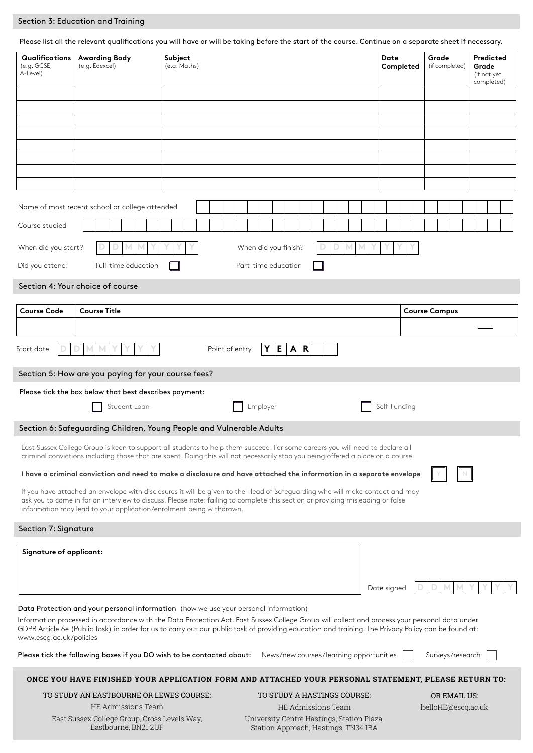## Section 3: Education and Training

Please list all the relevant qualifications you will have or will be taking before the start of the course. Continue on a separate sheet if necessary.

| <b>Qualifications</b><br>(e.g. GCSE,<br>A-Level) | <b>Awarding Body</b><br>(e.g. Edexcel)                              | Subject<br>(e.g. Maths)                                                                                                                                                                                                                                                                              | Date<br>Completed | Grade<br>(if completed) | Predicted<br>Grade<br>(if not yet<br>completed) |
|--------------------------------------------------|---------------------------------------------------------------------|------------------------------------------------------------------------------------------------------------------------------------------------------------------------------------------------------------------------------------------------------------------------------------------------------|-------------------|-------------------------|-------------------------------------------------|
|                                                  |                                                                     |                                                                                                                                                                                                                                                                                                      |                   |                         |                                                 |
|                                                  |                                                                     |                                                                                                                                                                                                                                                                                                      |                   |                         |                                                 |
|                                                  |                                                                     |                                                                                                                                                                                                                                                                                                      |                   |                         |                                                 |
|                                                  |                                                                     |                                                                                                                                                                                                                                                                                                      |                   |                         |                                                 |
|                                                  |                                                                     |                                                                                                                                                                                                                                                                                                      |                   |                         |                                                 |
|                                                  |                                                                     |                                                                                                                                                                                                                                                                                                      |                   |                         |                                                 |
|                                                  | Name of most recent school or college attended                      |                                                                                                                                                                                                                                                                                                      |                   |                         |                                                 |
| Course studied                                   |                                                                     |                                                                                                                                                                                                                                                                                                      |                   |                         |                                                 |
| When did you start?                              |                                                                     | When did you finish?                                                                                                                                                                                                                                                                                 |                   |                         |                                                 |
| Did you attend:                                  | Full-time education                                                 | Part-time education                                                                                                                                                                                                                                                                                  |                   |                         |                                                 |
|                                                  | Section 4: Your choice of course                                    |                                                                                                                                                                                                                                                                                                      |                   |                         |                                                 |
|                                                  |                                                                     |                                                                                                                                                                                                                                                                                                      |                   |                         |                                                 |
| <b>Course Code</b>                               | <b>Course Title</b>                                                 |                                                                                                                                                                                                                                                                                                      |                   | <b>Course Campus</b>    |                                                 |
| Start date                                       |                                                                     | $Y \mid$<br>E<br>$\mathbf R$<br>$\mathsf{A}$<br>Point of entry                                                                                                                                                                                                                                       |                   |                         |                                                 |
|                                                  | Section 5: How are you paying for your course fees?                 |                                                                                                                                                                                                                                                                                                      |                   |                         |                                                 |
|                                                  | Please tick the box below that best describes payment:              |                                                                                                                                                                                                                                                                                                      |                   |                         |                                                 |
|                                                  | Student Loan                                                        | Employer                                                                                                                                                                                                                                                                                             | Self-Funding      |                         |                                                 |
|                                                  |                                                                     | Section 6: Safeguarding Children, Young People and Vulnerable Adults                                                                                                                                                                                                                                 |                   |                         |                                                 |
|                                                  |                                                                     | East Sussex College Group is keen to support all students to help them succeed. For some careers you will need to declare all<br>criminal convictions including those that are spent. Doing this will not necessarily stop you being offered a place on a course.                                    |                   |                         |                                                 |
|                                                  |                                                                     | I have a criminal conviction and need to make a disclosure and have attached the information in a separate envelope                                                                                                                                                                                  |                   |                         |                                                 |
|                                                  | information may lead to your application/enrolment being withdrawn. | If you have attached an envelope with disclosures it will be given to the Head of Safeguarding who will make contact and may<br>ask you to come in for an interview to discuss. Please note: failing to complete this section or providing misleading or false                                       |                   |                         |                                                 |
| Section 7: Signature                             |                                                                     |                                                                                                                                                                                                                                                                                                      |                   |                         |                                                 |
| <b>Signature of applicant:</b>                   |                                                                     |                                                                                                                                                                                                                                                                                                      |                   |                         |                                                 |
|                                                  |                                                                     |                                                                                                                                                                                                                                                                                                      | Date signed       |                         |                                                 |
|                                                  |                                                                     | Data Protection and your personal information (how we use your personal information)                                                                                                                                                                                                                 |                   |                         |                                                 |
| www.escg.ac.uk/policies                          |                                                                     | Information processed in accordance with the Data Protection Act. East Sussex College Group will collect and process your personal data under<br>GDPR Article 6e (Public Task) in order for us to carry out our public task of providing education and training. The Privacy Policy can be found at: |                   |                         |                                                 |
|                                                  |                                                                     | Please tick the following boxes if you DO wish to be contacted about:<br>News/new courses/learning opportunities                                                                                                                                                                                     |                   | Surveys/research        |                                                 |
|                                                  |                                                                     | ONCE YOU HAVE FINISHED YOUR APPLICATION FORM AND ATTACHED YOUR PERSONAL STATEMENT, PLEASE RETURN TO:                                                                                                                                                                                                 |                   |                         |                                                 |
|                                                  | TO STUDY AN EASTBOURNE OR LEWES COURSE:                             | TO STUDY A HASTINGS COURSE:                                                                                                                                                                                                                                                                          |                   | OR EMAIL US:            |                                                 |
|                                                  | HE Admissions Team<br>East Sussex College Group, Cross Levels Way,  | HE Admissions Team<br>University Centre Hastings, Station Plaza,                                                                                                                                                                                                                                     |                   | helloHE@escg.ac.uk      |                                                 |

East Sussex College Group, Cross Levels Way, Eastbourne, BN21 2UF Station Approach, Hastings, TN34 1BA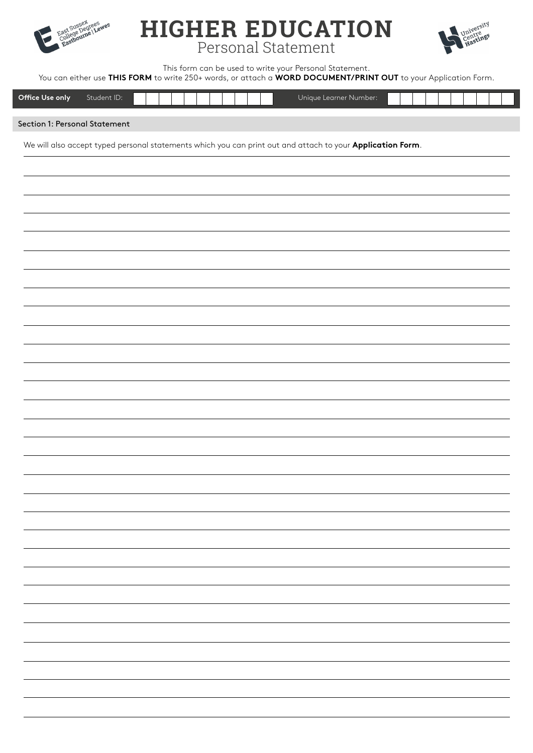

# **HIGHER EDUCATION** Personal Statement



This form can be used to write your Personal Statement.

You can either use **THIS FORM** to write 250+ words, or attach a **WORD DOCUMENT/PRINT OUT** to your Application Form.

| Office Use only<br>Student ID: | Unique Learner Number: . |  |  |
|--------------------------------|--------------------------|--|--|



We will also accept typed personal statements which you can print out and attach to your **Application Form**.